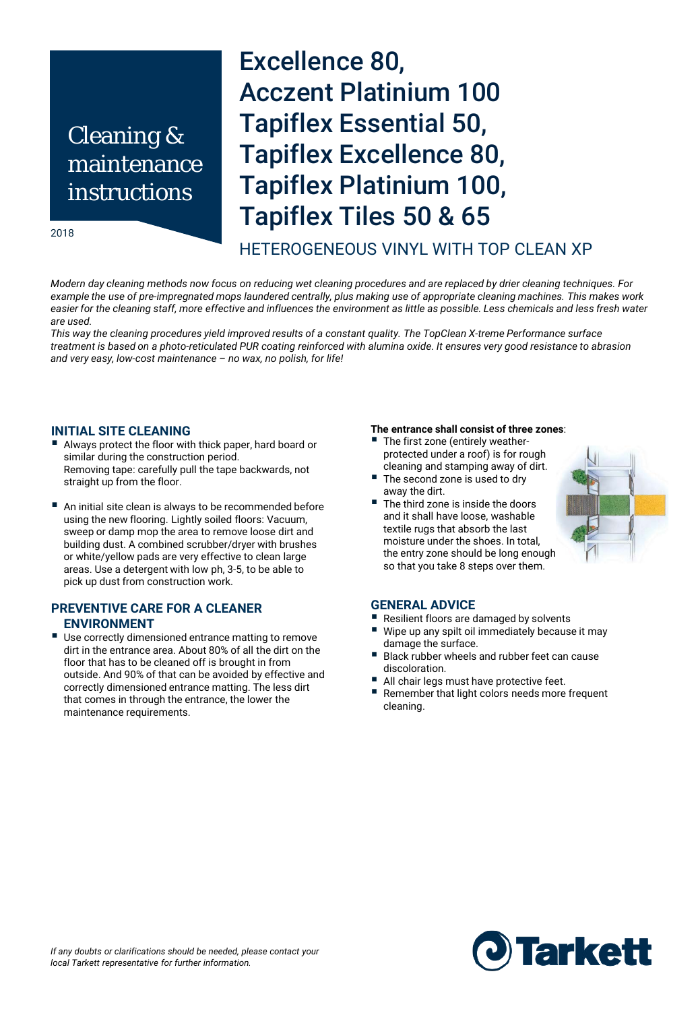## Cleaning & maintenance instructions

#### 2018

# Excellence 80, Acczent Platinium 100 Tapiflex Essential 50, Tapiflex Excellence 80, Tapiflex Platinium 100, Tapiflex Tiles 50 & 65

## HETEROGENEOUS VINYL WITH TOP CLEAN XP

*Modern day cleaning methods now focus on reducing wet cleaning procedures and are replaced by drier cleaning techniques. For example the use of pre-impregnated mops laundered centrally, plus making use of appropriate cleaning machines. This makes work*  easier for the cleaning staff, more effective and influences the environment as little as possible. Less chemicals and less fresh water *are used.* 

*This way the cleaning procedures yield improved results of a constant quality. The TopClean X-treme Performance surface treatment is based on a photo-reticulated PUR coating reinforced with alumina oxide. It ensures very good resistance to abrasion and very easy, low-cost maintenance – no wax, no polish, for life!* 

#### **INITIAL SITE CLEANING**

- Always protect the floor with thick paper, hard board or similar during the construction period. Removing tape: carefully pull the tape backwards, not straight up from the floor.
- An initial site clean is always to be recommended before using the new flooring. Lightly soiled floors: Vacuum, sweep or damp mop the area to remove loose dirt and building dust. A combined scrubber/dryer with brushes or white/yellow pads are very effective to clean large areas. Use a detergent with low ph, 3-5, to be able to pick up dust from construction work.

### **PREVENTIVE CARE FOR A CLEANER ENVIRONMENT**

■ Use correctly dimensioned entrance matting to remove dirt in the entrance area. About 80% of all the dirt on the floor that has to be cleaned off is brought in from outside. And 90% of that can be avoided by effective and correctly dimensioned entrance matting. The less dirt that comes in through the entrance, the lower the maintenance requirements.

## **The entrance shall consist of three zones**:

- The first zone (entirely weatherprotected under a roof) is for rough cleaning and stamping away of dirt.
- The second zone is used to dry away the dirt.
- The third zone is inside the doors and it shall have loose, washable textile rugs that absorb the last moisture under the shoes. In total, the entry zone should be long enough so that you take 8 steps over them.



#### **GENERAL ADVICE**

- Resilient floors are damaged by solvents
- Wipe up any spilt oil immediately because it may damage the surface.
- Black rubber wheels and rubber feet can cause discoloration.
- All chair legs must have protective feet.
- Remember that light colors needs more frequent cleaning.